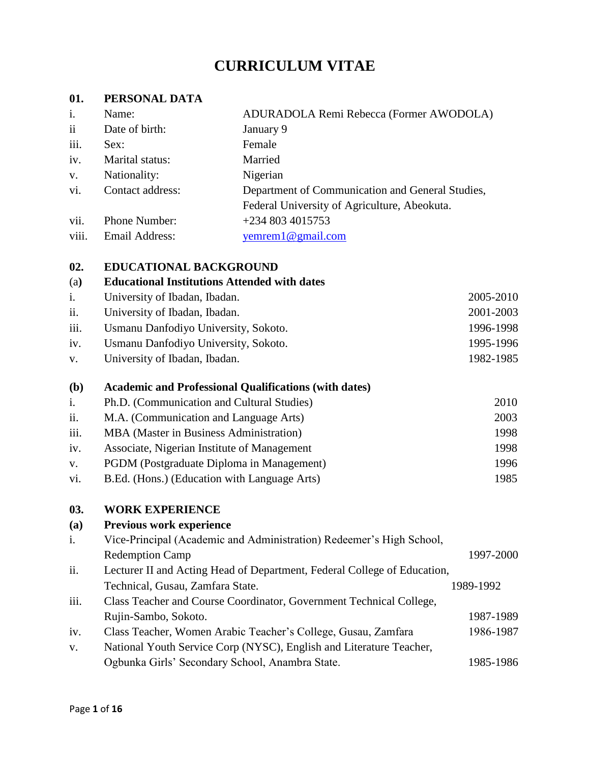# **CURRICULUM VITAE**

### **01. PERSONAL DATA**

| i.                      | Name:            | ADURADOLA Remi Rebecca (Former AWODOLA)          |
|-------------------------|------------------|--------------------------------------------------|
| $\overline{\mathbf{u}}$ | Date of birth:   | January 9                                        |
| iii.                    | Sex:             | Female                                           |
| iv.                     | Marital status:  | Married                                          |
| V.                      | Nationality:     | Nigerian                                         |
| vi.                     | Contact address: | Department of Communication and General Studies, |
|                         |                  | Federal University of Agriculture, Abeokuta.     |
| vii.                    | Phone Number:    | $+2348034015753$                                 |
| viii.                   | Email Address:   | yemrem $1@$ gmail.com                            |
|                         |                  |                                                  |

# **02. EDUCATIONAL BACKGROUND**

| vz.          | EDUCATIONAL BACKUROUND                                       |           |
|--------------|--------------------------------------------------------------|-----------|
| (a)          | <b>Educational Institutions Attended with dates</b>          |           |
| i.           | University of Ibadan, Ibadan.                                | 2005-2010 |
| ii.          | University of Ibadan, Ibadan.                                | 2001-2003 |
| iii.         | Usmanu Danfodiyo University, Sokoto.                         | 1996-1998 |
| iv.          | Usmanu Danfodiyo University, Sokoto.                         | 1995-1996 |
| V.           | University of Ibadan, Ibadan.                                | 1982-1985 |
| ( <b>b</b> ) | <b>Academic and Professional Qualifications (with dates)</b> |           |
| i.           | Ph.D. (Communication and Cultural Studies)                   | 2010      |
| ii.          | M.A. (Communication and Language Arts)                       | 2003      |
| iii.         | MBA (Master in Business Administration)                      | 1998      |
| iv.          | Associate, Nigerian Institute of Management                  | 1998      |
| V.           | PGDM (Postgraduate Diploma in Management)                    | 1996      |
| vi.          | B.Ed. (Hons.) (Education with Language Arts)                 | 1985      |

#### **03. WORK EXPERIENCE**

| (a)  | Previous work experience                                                 |           |  |  |  |  |
|------|--------------------------------------------------------------------------|-----------|--|--|--|--|
| i.   | Vice-Principal (Academic and Administration) Redeemer's High School,     |           |  |  |  |  |
|      | <b>Redemption Camp</b>                                                   | 1997-2000 |  |  |  |  |
| ii.  | Lecturer II and Acting Head of Department, Federal College of Education, |           |  |  |  |  |
|      | Technical, Gusau, Zamfara State.                                         | 1989-1992 |  |  |  |  |
| iii. | Class Teacher and Course Coordinator, Government Technical College,      |           |  |  |  |  |
|      | Rujin-Sambo, Sokoto.                                                     | 1987-1989 |  |  |  |  |
| iv.  | Class Teacher, Women Arabic Teacher's College, Gusau, Zamfara            | 1986-1987 |  |  |  |  |
| V.   | National Youth Service Corp (NYSC), English and Literature Teacher,      |           |  |  |  |  |
|      | Ogbunka Girls' Secondary School, Anambra State.                          | 1985-1986 |  |  |  |  |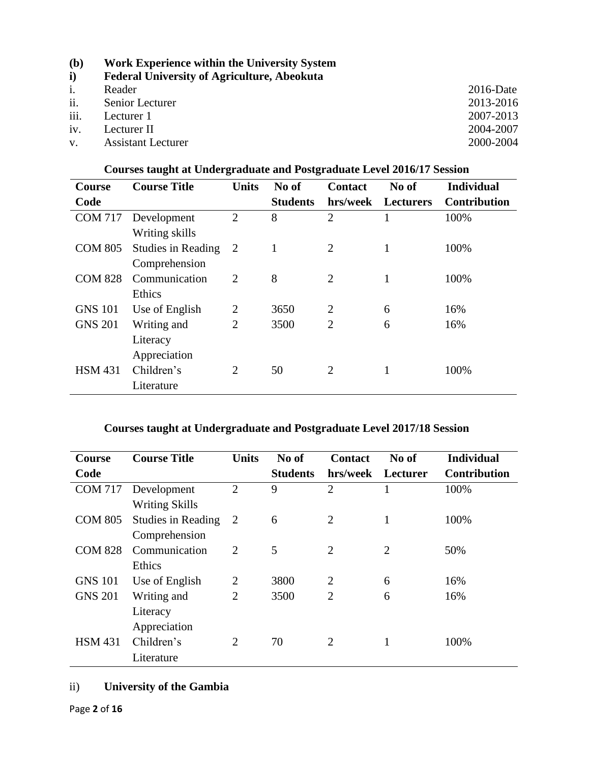**i) Federal University of Agriculture, Abeokuta**

| i.   | Reader                 | $2016$ -Date |
|------|------------------------|--------------|
| ii.  | <b>Senior Lecturer</b> | 2013-2016    |
| iii. | Lecturer 1             | 2007-2013    |
| iv.  | Lecturer II            | 2004-2007    |
|      | v. Assistant Lecturer  | 2000-2004    |

| <b>Course</b>  | <b>Course Title</b>       | <b>Units</b>   | No of           | <b>Contact</b> | No of            | <b>Individual</b>   |
|----------------|---------------------------|----------------|-----------------|----------------|------------------|---------------------|
| Code           |                           |                | <b>Students</b> | hrs/week       | <b>Lecturers</b> | <b>Contribution</b> |
| <b>COM 717</b> | Development               | $\overline{2}$ | 8               | $\overline{2}$ |                  | 100%                |
|                | Writing skills            |                |                 |                |                  |                     |
| <b>COM 805</b> | <b>Studies in Reading</b> | 2              | 1               | $\overline{2}$ | 1                | 100%                |
|                | Comprehension             |                |                 |                |                  |                     |
| <b>COM 828</b> | Communication             | $\overline{2}$ | 8               | $\overline{2}$ | 1                | 100%                |
|                | Ethics                    |                |                 |                |                  |                     |
| <b>GNS 101</b> | Use of English            | $\overline{2}$ | 3650            | $\overline{2}$ | 6                | 16%                 |
| <b>GNS 201</b> | Writing and               | $\overline{2}$ | 3500            | $\overline{2}$ | 6                | 16%                 |
|                | Literacy                  |                |                 |                |                  |                     |
|                | Appreciation              |                |                 |                |                  |                     |
| <b>HSM 431</b> | Children's                | $\overline{2}$ | 50              | $\overline{2}$ | 1                | 100%                |
|                | Literature                |                |                 |                |                  |                     |

# **Courses taught at Undergraduate and Postgraduate Level 2016/17 Session**

# **Courses taught at Undergraduate and Postgraduate Level 2017/18 Session**

| <b>Course</b>  | <b>Course Title</b>       | <b>Units</b>   | No of           | <b>Contact</b> | No of          | <b>Individual</b>   |
|----------------|---------------------------|----------------|-----------------|----------------|----------------|---------------------|
| Code           |                           |                | <b>Students</b> | hrs/week       | Lecturer       | <b>Contribution</b> |
| <b>COM 717</b> | Development               | $\overline{2}$ | 9               | $\overline{2}$ |                | 100%                |
|                | <b>Writing Skills</b>     |                |                 |                |                |                     |
| <b>COM 805</b> | <b>Studies in Reading</b> | 2              | 6               | $\overline{2}$ | $\mathbf{1}$   | 100%                |
|                | Comprehension             |                |                 |                |                |                     |
| <b>COM 828</b> | Communication             | $\overline{2}$ | 5               | $\overline{2}$ | $\overline{2}$ | 50%                 |
|                | Ethics                    |                |                 |                |                |                     |
| <b>GNS 101</b> | Use of English            | $\overline{2}$ | 3800            | $\overline{2}$ | 6              | 16%                 |
| <b>GNS 201</b> | Writing and               | $\overline{2}$ | 3500            | $\overline{2}$ | 6              | 16%                 |
|                | Literacy                  |                |                 |                |                |                     |
|                | Appreciation              |                |                 |                |                |                     |
| <b>HSM 431</b> | Children's                | $\overline{2}$ | 70              | $\overline{2}$ |                | 100%                |
|                | Literature                |                |                 |                |                |                     |

# ii) **University of the Gambia**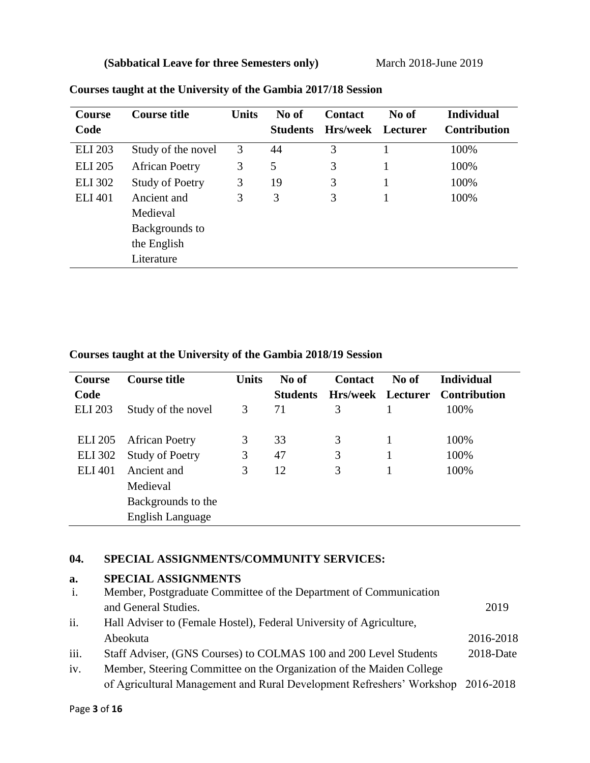**(Sabbatical Leave for three Semesters only)** March 2018-June 2019

| <b>Course</b>  | <b>Course title</b>    | <b>Units</b> | No of           | <b>Contact</b>  | No of    | <b>Individual</b>   |
|----------------|------------------------|--------------|-----------------|-----------------|----------|---------------------|
| Code           |                        |              | <b>Students</b> | <b>Hrs/week</b> | Lecturer | <b>Contribution</b> |
| <b>ELI 203</b> | Study of the novel     | 3            | 44              | 3               |          | 100%                |
| <b>ELI 205</b> | <b>African Poetry</b>  | 3            | 5               | 3               |          | 100%                |
| <b>ELI 302</b> | <b>Study of Poetry</b> | 3            | 19              | 3               |          | 100%                |
| <b>ELI 401</b> | Ancient and            | 3            | 3               | 3               |          | 100%                |
|                | Medieval               |              |                 |                 |          |                     |
|                | Backgrounds to         |              |                 |                 |          |                     |
|                | the English            |              |                 |                 |          |                     |
|                | Literature             |              |                 |                 |          |                     |

# **Courses taught at the University of the Gambia 2017/18 Session**

**Courses taught at the University of the Gambia 2018/19 Session**

| <b>Course</b>  | <b>Course title</b>    | <b>Units</b> | No of           | <b>Contact</b>    | No of | <b>Individual</b>   |
|----------------|------------------------|--------------|-----------------|-------------------|-------|---------------------|
| Code           |                        |              | <b>Students</b> | Hrs/week Lecturer |       | <b>Contribution</b> |
| <b>ELI 203</b> | Study of the novel     | 3            | 71              | 3                 |       | 100%                |
|                |                        |              |                 |                   |       |                     |
| <b>ELI</b> 205 | <b>African Poetry</b>  | 3            | 33              | 3                 |       | 100%                |
| <b>ELI</b> 302 | <b>Study of Poetry</b> | 3            | 47              | 3                 |       | 100%                |
| <b>ELI 401</b> | Ancient and            | 3            | 12              | 3                 |       | 100%                |
|                | Medieval               |              |                 |                   |       |                     |
|                | Backgrounds to the     |              |                 |                   |       |                     |
|                | English Language       |              |                 |                   |       |                     |

# **04. SPECIAL ASSIGNMENTS/COMMUNITY SERVICES:**

## **a. SPECIAL ASSIGNMENTS**

| i.   | Member, Postgraduate Committee of the Department of Communication               |               |
|------|---------------------------------------------------------------------------------|---------------|
|      | and General Studies.                                                            | 2019          |
| ii.  | Hall Adviser to (Female Hostel), Federal University of Agriculture,             |               |
|      | Abeokuta                                                                        | 2016-2018     |
| iii. | Staff Adviser, (GNS Courses) to COLMAS 100 and 200 Level Students               | $2018 - Date$ |
| iv.  | Member, Steering Committee on the Organization of the Maiden College            |               |
|      | of Agricultural Management and Rural Development Refreshers' Workshop 2016-2018 |               |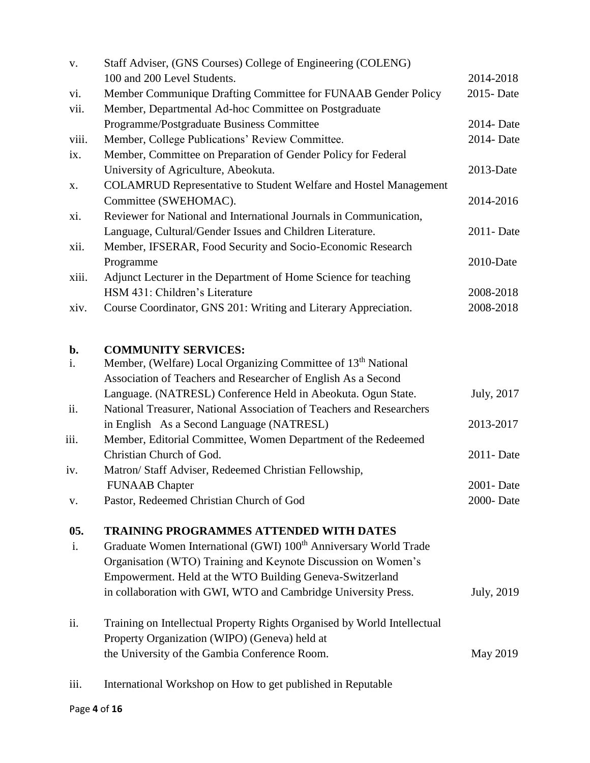| V.    | Staff Adviser, (GNS Courses) College of Engineering (COLENG)                 |             |
|-------|------------------------------------------------------------------------------|-------------|
|       | 100 and 200 Level Students.                                                  | 2014-2018   |
| vi.   | Member Communique Drafting Committee for FUNAAB Gender Policy                | 2015 - Date |
| vii.  | Member, Departmental Ad-hoc Committee on Postgraduate                        |             |
|       | Programme/Postgraduate Business Committee                                    | 2014- Date  |
| viii. | Member, College Publications' Review Committee.                              | 2014- Date  |
| ix.   | Member, Committee on Preparation of Gender Policy for Federal                |             |
|       | University of Agriculture, Abeokuta.                                         | 2013-Date   |
| X.    | <b>COLAMRUD Representative to Student Welfare and Hostel Management</b>      |             |
|       | Committee (SWEHOMAC).                                                        | 2014-2016   |
| xi.   | Reviewer for National and International Journals in Communication,           |             |
|       | Language, Cultural/Gender Issues and Children Literature.                    | 2011- Date  |
| xii.  | Member, IFSERAR, Food Security and Socio-Economic Research                   |             |
|       | Programme                                                                    | 2010-Date   |
| xiii. | Adjunct Lecturer in the Department of Home Science for teaching              |             |
|       | HSM 431: Children's Literature                                               | 2008-2018   |
| xiv.  | Course Coordinator, GNS 201: Writing and Literary Appreciation.              | 2008-2018   |
| b.    | <b>COMMUNITY SERVICES:</b>                                                   |             |
| i.    | Member, (Welfare) Local Organizing Committee of 13 <sup>th</sup> National    |             |
|       | Association of Teachers and Researcher of English As a Second                |             |
|       | Language. (NATRESL) Conference Held in Abeokuta. Ogun State.                 | July, 2017  |
| ii.   | National Treasurer, National Association of Teachers and Researchers         |             |
|       | in English As a Second Language (NATRESL)                                    | 2013-2017   |
| iii.  | Member, Editorial Committee, Women Department of the Redeemed                |             |
|       | Christian Church of God.                                                     | 2011-Date   |
| iv.   | Matron/ Staff Adviser, Redeemed Christian Fellowship,                        |             |
|       | <b>FUNAAB</b> Chapter                                                        | 2001 - Date |
| V.    | Pastor, Redeemed Christian Church of God                                     | 2000-Date   |
| 05.   | <b>TRAINING PROGRAMMES ATTENDED WITH DATES</b>                               |             |
| i.    | Graduate Women International (GWI) 100 <sup>th</sup> Anniversary World Trade |             |
|       | Organisation (WTO) Training and Keynote Discussion on Women's                |             |
|       | Empowerment. Held at the WTO Building Geneva-Switzerland                     |             |
|       | in collaboration with GWI, WTO and Cambridge University Press.               | July, 2019  |
| ii.   | Training on Intellectual Property Rights Organised by World Intellectual     |             |
|       | Property Organization (WIPO) (Geneva) held at                                |             |
|       | the University of the Gambia Conference Room.                                | May 2019    |
| iii.  | International Workshop on How to get published in Reputable                  |             |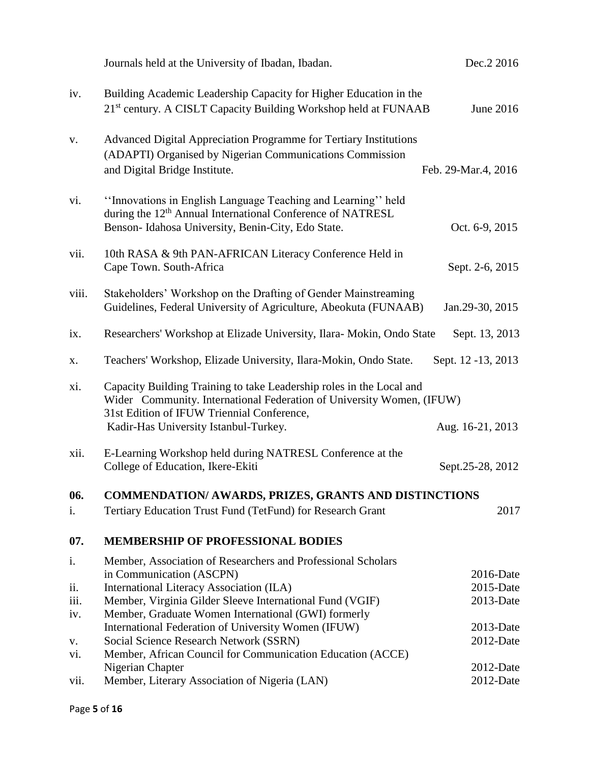|       | Journals held at the University of Ibadan, Ibadan.                                                                                                                                          | Dec. 2 2016            |
|-------|---------------------------------------------------------------------------------------------------------------------------------------------------------------------------------------------|------------------------|
| iv.   | Building Academic Leadership Capacity for Higher Education in the<br>21 <sup>st</sup> century. A CISLT Capacity Building Workshop held at FUNAAB                                            | June 2016              |
| V.    | Advanced Digital Appreciation Programme for Tertiary Institutions<br>(ADAPTI) Organised by Nigerian Communications Commission<br>and Digital Bridge Institute.                              | Feb. 29-Mar.4, 2016    |
| vi.   | "Innovations in English Language Teaching and Learning" held<br>during the 12 <sup>th</sup> Annual International Conference of NATRESL<br>Benson-Idahosa University, Benin-City, Edo State. | Oct. 6-9, 2015         |
| vii.  | 10th RASA & 9th PAN-AFRICAN Literacy Conference Held in<br>Cape Town. South-Africa                                                                                                          | Sept. 2-6, 2015        |
| viii. | Stakeholders' Workshop on the Drafting of Gender Mainstreaming<br>Guidelines, Federal University of Agriculture, Abeokuta (FUNAAB)                                                          | Jan.29-30, 2015        |
| ix.   | Researchers' Workshop at Elizade University, Ilara- Mokin, Ondo State                                                                                                                       | Sept. 13, 2013         |
| X.    | Teachers' Workshop, Elizade University, Ilara-Mokin, Ondo State.                                                                                                                            | Sept. 12 -13, 2013     |
| xi.   | Capacity Building Training to take Leadership roles in the Local and<br>Wider Community. International Federation of University Women, (IFUW)<br>31st Edition of IFUW Triennial Conference, |                        |
|       | Kadir-Has University Istanbul-Turkey.                                                                                                                                                       | Aug. 16-21, 2013       |
| xii.  | E-Learning Workshop held during NATRESL Conference at the<br>College of Education, Ikere-Ekiti                                                                                              | Sept.25-28, 2012       |
| 06.   | <b>COMMENDATION/ AWARDS, PRIZES, GRANTS AND DISTINCTIONS</b>                                                                                                                                |                        |
| i.    | Tertiary Education Trust Fund (TetFund) for Research Grant                                                                                                                                  | 2017                   |
| 07.   | <b>MEMBERSHIP OF PROFESSIONAL BODIES</b>                                                                                                                                                    |                        |
| i.    | Member, Association of Researchers and Professional Scholars                                                                                                                                |                        |
| ii.   | in Communication (ASCPN)<br>International Literacy Association (ILA)                                                                                                                        | 2016-Date<br>2015-Date |
| iii.  | Member, Virginia Gilder Sleeve International Fund (VGIF)                                                                                                                                    | 2013-Date              |
| iv.   | Member, Graduate Women International (GWI) formerly                                                                                                                                         |                        |
|       | International Federation of University Women (IFUW)                                                                                                                                         | $2013$ -Date           |
| V.    | Social Science Research Network (SSRN)                                                                                                                                                      | 2012-Date              |
| vi.   | Member, African Council for Communication Education (ACCE)                                                                                                                                  |                        |
|       | Nigerian Chapter                                                                                                                                                                            | $2012$ -Date           |
| vii.  | Member, Literary Association of Nigeria (LAN)                                                                                                                                               | 2012-Date              |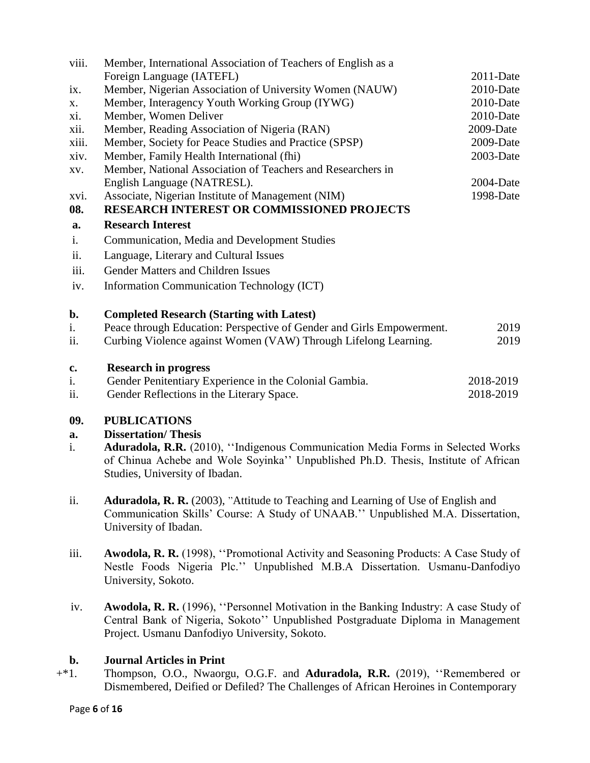| viii. | Member, International Association of Teachers of English as a         |              |
|-------|-----------------------------------------------------------------------|--------------|
|       | Foreign Language (IATEFL)                                             | $2011-Date$  |
| ix.   | Member, Nigerian Association of University Women (NAUW)               | 2010-Date    |
| X.    | Member, Interagency Youth Working Group (IYWG)                        | 2010-Date    |
| xi.   | Member, Women Deliver                                                 | 2010-Date    |
| xii.  | Member, Reading Association of Nigeria (RAN)                          | 2009-Date    |
| xiii. | Member, Society for Peace Studies and Practice (SPSP)                 | 2009-Date    |
| xiv.  | Member, Family Health International (fhi)                             | $2003$ -Date |
| XV.   | Member, National Association of Teachers and Researchers in           |              |
|       | English Language (NATRESL).                                           | 2004-Date    |
| xvi.  | Associate, Nigerian Institute of Management (NIM)                     | 1998-Date    |
| 08.   | <b>RESEARCH INTEREST OR COMMISSIONED PROJECTS</b>                     |              |
| a.    | <b>Research Interest</b>                                              |              |
| i.    | Communication, Media and Development Studies                          |              |
| ii.   | Language, Literary and Cultural Issues                                |              |
| iii.  | Gender Matters and Children Issues                                    |              |
| iv.   | Information Communication Technology (ICT)                            |              |
| b.    | <b>Completed Research (Starting with Latest)</b>                      |              |
| i.    | Peace through Education: Perspective of Gender and Girls Empowerment. | 2019         |
| ii.   | Curbing Violence against Women (VAW) Through Lifelong Learning.       | 2019         |
| c.    | <b>Research in progress</b>                                           |              |
| i.    | Gender Penitentiary Experience in the Colonial Gambia.                | 2018-2019    |
|       |                                                                       |              |

ii. Gender Reflections in the Literary Space. 2018-2019

# **09. PUBLICATIONS**

# **a. Dissertation/ Thesis**

- i. **Aduradola, R.R.** (2010), ''Indigenous Communication Media Forms in Selected Works of Chinua Achebe and Wole Soyinka'' Unpublished Ph.D. Thesis, Institute of African Studies, University of Ibadan.
- ii. **Aduradola, R. R.** (2003), "Attitude to Teaching and Learning of Use of English and Communication Skills' Course: A Study of UNAAB.'' Unpublished M.A. Dissertation, University of Ibadan.
- iii. **Awodola, R. R.** (1998), ''Promotional Activity and Seasoning Products: A Case Study of Nestle Foods Nigeria Plc.'' Unpublished M.B.A Dissertation. Usmanu-Danfodiyo University, Sokoto.
- iv. **Awodola, R. R.** (1996), ''Personnel Motivation in the Banking Industry: A case Study of Central Bank of Nigeria, Sokoto'' Unpublished Postgraduate Diploma in Management Project. Usmanu Danfodiyo University, Sokoto.

# **b. Journal Articles in Print**

+\*1. Thompson, O.O., Nwaorgu, O.G.F. and **Aduradola, R.R.** (2019), ''Remembered or Dismembered, Deified or Defiled? The Challenges of African Heroines in Contemporary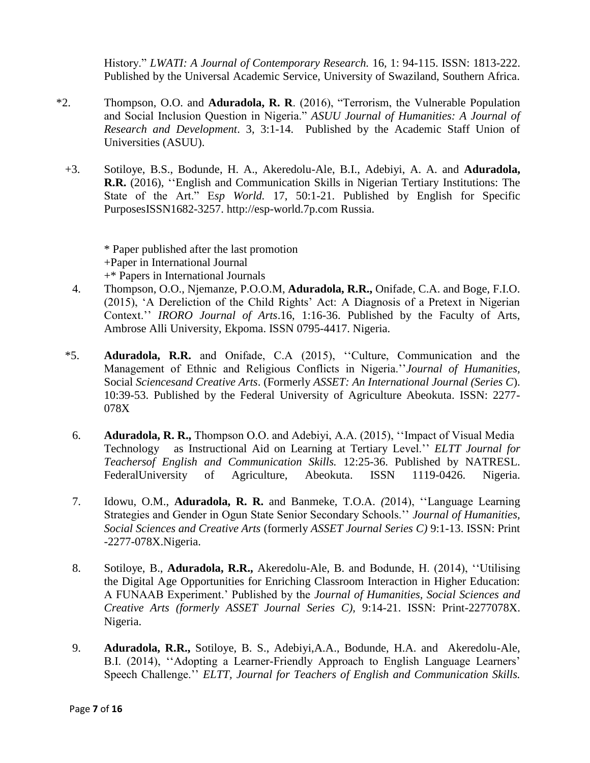History." *LWATI: A Journal of Contemporary Research.* 16*,* 1: 94-115. ISSN: 1813-222. Published by the Universal Academic Service, University of Swaziland, Southern Africa.

- \*2. Thompson, O.O. and **Aduradola, R. R**. (2016), "Terrorism, the Vulnerable Population and Social Inclusion Question in Nigeria." *ASUU Journal of Humanities: A Journal of Research and Development*. 3, 3:1-14. Published by the Academic Staff Union of Universities (ASUU).
	- +3. Sotiloye, B.S., Bodunde, H. A., Akeredolu-Ale, B.I., Adebiyi, A. A. and **Aduradola, R.R.** (2016), ''English and Communication Skills in Nigerian Tertiary Institutions: The State of the Art." E*sp World.* 17, 50:1-21. [Pu](../../MICHEAL%20ADURADOLA/Desktop/MINE/P)blished by English for Specific PurposesISSN1682-3257. [http://esp-world.7p.com](http://esp-world.7p.com/) Russia.

\* Paper published after the last promotion +Paper in International Journal +\* Papers in International Journals

- 4. Thompson, O.O., Njemanze, P.O.O.M, **Aduradola, R.R.,** Onifade, C.A. and Boge, F.I.O. (2015), 'A Dereliction of the Child Rights' Act: A Diagnosis of a Pretext in Nigerian Context.'' *IRORO Journal of Arts*.16, 1:16-36. Published by the Faculty of Arts, Ambrose Alli University, Ekpoma. ISSN 0795-4417. Nigeria.
- \*5. **Aduradola, R.R.** and Onifade, C.A (2015), ''Culture, Communication and the Management of Ethnic and Religious Conflicts in Nigeria.''*Journal of Humanities,*  Social *Sciencesand Creative Arts*. (Formerly *ASSET: An International Journal (Series C*). 10:39-53. Published by the Federal University of Agriculture Abeokuta. ISSN: 2277- 078X
	- 6. **Aduradola, R. R.,** Thompson O.O. and Adebiyi, A.A. (2015), ''Impact of Visual Media Technology as Instructional Aid on Learning at Tertiary Level.'' *ELTT Journal for Teachersof English and Communication Skills.* 12:25-36. Published by NATRESL. FederalUniversity of Agriculture, Abeokuta. ISSN 1119-0426. Nigeria.
- 7. Idowu, O.M., **Aduradola, R. R.** and Banmeke, T.O.A. *(*2014), ''Language Learning Strategies and Gender in Ogun State Senior Secondary Schools.'' *Journal of Humanities, Social Sciences and Creative Arts* (formerly *ASSET Journal Series C)* 9:1-13. ISSN: Print -2277-078X.Nigeria.
- 8. Sotiloye, B., **Aduradola, R.R.,** Akeredolu-Ale, B. and Bodunde, H. (2014), ''Utilising the Digital Age Opportunities for Enriching Classroom Interaction in Higher Education: A FUNAAB Experiment.' Published by the *Journal of Humanities, Social Sciences and Creative Arts (formerly ASSET Journal Series C),* 9:14-21. ISSN: Print-2277078X. Nigeria.
- 9. **Aduradola, R.R.,** Sotiloye, B. S., Adebiyi,A.A., Bodunde, H.A. and Akeredolu-Ale, B.I. (2014), ''Adopting a Learner-Friendly Approach to English Language Learners' Speech Challenge.'' *ELTT, Journal for Teachers of English and Communication Skills.*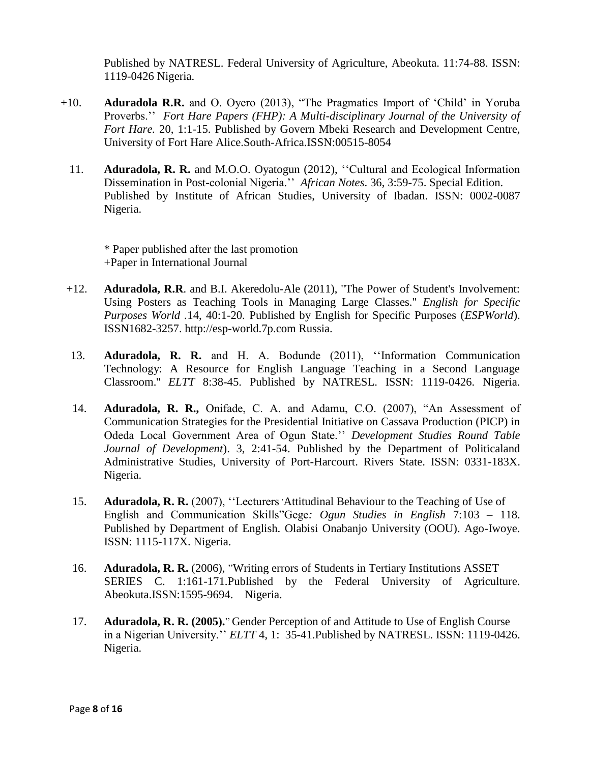Published by NATRESL. Federal University of Agriculture, Abeokuta. 11:74-88. ISSN: 1119-0426 Nigeria.

- +10. **Aduradola R.R.** and O. Oyero (2013), "The Pragmatics Import of 'Child' in Yoruba Proverbs.'' *Fort Hare Papers (FHP): A Multi-disciplinary Journal of the University of Fort Hare.* 20, 1:1-15. Published by Govern Mbeki Research and Development Centre, University of Fort Hare Alice.South-Africa.ISSN:00515-8054
	- 11. **Aduradola, R. R.** and M.O.O. Oyatogun (2012), ''Cultural and Ecological Information Dissemination in Post-colonial Nigeria.'' *African Notes*. 36, 3:59-75. Special Edition. Published by Institute of African Studies, University of Ibadan. ISSN: 0002-0087 Nigeria.

\* Paper published after the last promotion +Paper in International Journal

- +12. **Aduradola, R.R**. and B.I. Akeredolu-Ale (2011), ''The Power of Student's Involvement: Using Posters as Teaching Tools in Managing Large Classes.'' *English for Specific Purposes World .*14, 40:1-20. [Pu](../../MICHEAL%20ADURADOLA/Desktop/MINE/P)blished by English for Specific Purposes (*ESPWorld*). ISSN1682-3257. [http://esp-world.7p.com](http://esp-world.7p.com/) Russia.
- 13. **Aduradola, R. R.** and H. A. Bodunde (2011), ''Information Communication Technology: A Resource for English Language Teaching in a Second Language Classroom.'' *ELTT* 8:38-45. Published by NATRESL. ISSN: 1119-0426. Nigeria.
- 14. **Aduradola, R. R.,** Onifade, C. A. and Adamu, C.O. (2007), "An Assessment of Communication Strategies for the Presidential Initiative on Cassava Production (PICP) in Odeda Local Government Area of Ogun State.'' *Development Studies Round Table Journal of Development*). 3, 2:41-54. Published by the Department of Politicaland Administrative Studies, University of Port-Harcourt. Rivers State. ISSN: 0331-183X. Nigeria.
- 15. **Aduradola, R. R.** (2007), "Lecturers Attitudinal Behaviour to the Teaching of Use of English and Communication Skills"Gege*: Ogun Studies in English* 7:103 – 118. Published by Department of English. Olabisi Onabanjo University (OOU). Ago-Iwoye. ISSN: 1115-117X. Nigeria.
- 16. **Aduradola, R. R.** (2006), "Writing errors of Students in Tertiary Institutions ASSET SERIES C. 1:161-171.Published by the Federal University of Agriculture. Abeokuta.ISSN:1595-9694. Nigeria.
- 17. **Aduradola, R. R. (2005).**" Gender Perception of and Attitude to Use of English Course in a Nigerian University.'' *ELTT* 4, 1: 35-41.Published by NATRESL. ISSN: 1119-0426. Nigeria.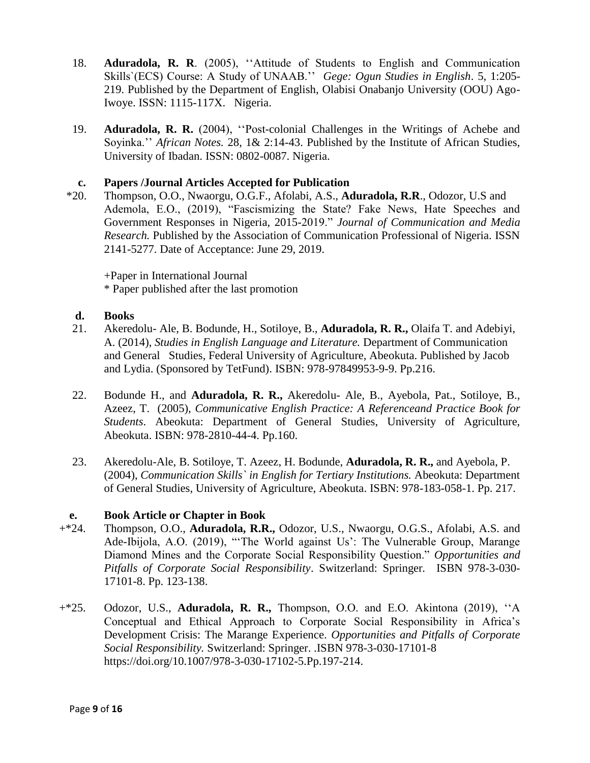- 18. **Aduradola, R. R**. (2005), ''Attitude of Students to English and Communication Skills`(ECS) Course: A Study of UNAAB.'' *Gege: Ogun Studies in English*. 5, 1:205- 219. Published by the Department of English, Olabisi Onabanjo University (OOU) Ago-Iwoye. ISSN: 1115-117X. Nigeria.
- 19. **Aduradola, R. R.** (2004), ''Post-colonial Challenges in the Writings of Achebe and Soyinka.'' *African Notes.* 28, 1& 2:14-43. Published by the Institute of African Studies, University of Ibadan. ISSN: 0802-0087. Nigeria.

### **c. Papers /Journal Articles Accepted for Publication**

 \*20. Thompson, O.O., Nwaorgu, O.G.F., Afolabi, A.S., **Aduradola, R.R**., Odozor, U.S and Ademola, E.O., (2019), "Fascismizing the State? Fake News, Hate Speeches and Government Responses in Nigeria, 2015-2019." *Journal of Communication and Media Research.* Published by the Association of Communication Professional of Nigeria. ISSN 2141-5277. Date of Acceptance: June 29, 2019.

+Paper in International Journal \* Paper published after the last promotion

### **d. Books**

- 21. Akeredolu- Ale, B. Bodunde, H., Sotiloye, B., **Aduradola, R. R.,** Olaifa T. and Adebiyi, A. (2014), *Studies in English Language and Literature.* Department of Communication and General Studies, Federal University of Agriculture, Abeokuta. Published by Jacob and Lydia. (Sponsored by TetFund). ISBN: 978-97849953-9-9. Pp.216.
- 22. Bodunde H., and **Aduradola, R. R.,** Akeredolu- Ale, B., Ayebola, Pat., Sotiloye, B., Azeez, T. (2005), *Communicative English Practice: A Referenceand Practice Book for Students*. Abeokuta: Department of General Studies, University of Agriculture, Abeokuta. ISBN: 978-2810-44-4. Pp.160.
- 23. Akeredolu-Ale, B. Sotiloye, T. Azeez, H. Bodunde, **Aduradola, R. R.,** and Ayebola, P. (2004), *Communication Skills` in English for Tertiary Institutions.* Abeokuta: Department of General Studies, University of Agriculture, Abeokuta. ISBN: 978-183-058-1. Pp. 217.

### **e. Book Article or Chapter in Book**

- +\*24. Thompson, O.O., **Aduradola, R.R.,** Odozor, U.S., Nwaorgu, O.G.S., Afolabi, A.S. and Ade-Ibijola, A.O. (2019), "'The World against Us': The Vulnerable Group, Marange Diamond Mines and the Corporate Social Responsibility Question." *Opportunities and Pitfalls of Corporate Social Responsibility*. Switzerland: Springer*.* ISBN 978-3-030- 17101-8. Pp. 123-138.
- +\*25. Odozor, U.S., **Aduradola, R. R.,** Thompson, O.O. and E.O. Akintona (2019), ''A Conceptual and Ethical Approach to Corporate Social Responsibility in Africa's Development Crisis: The Marange Experience. *Opportunities and Pitfalls of Corporate Social Responsibility.* Switzerland: Springer. .ISBN 978-3-030-17101-8 https://doi.org/10.1007/978-3-030-17102-5.Pp.197-214.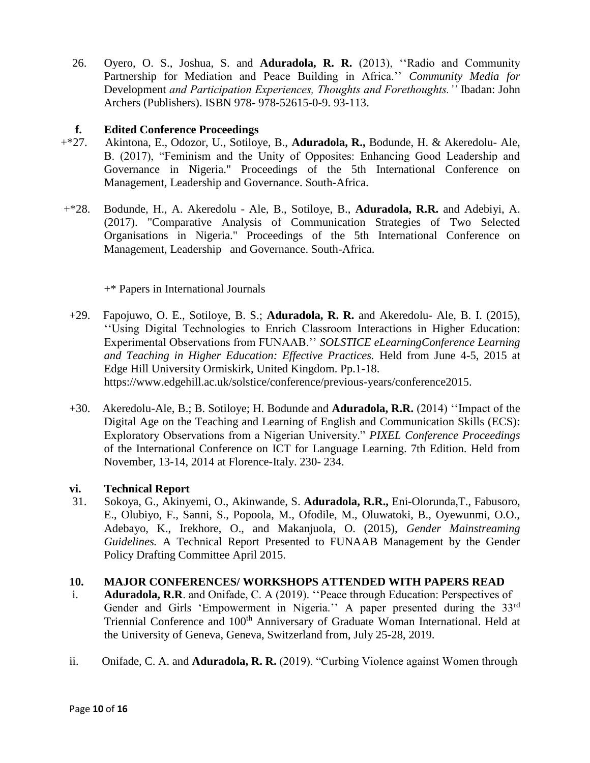26. Oyero, O. S., Joshua, S. and **Aduradola, R. R.** (2013), ''Radio and Community Partnership for Mediation and Peace Building in Africa.'' *Community Media for*  Development *and Participation Experiences, Thoughts and Forethoughts.''* Ibadan: John Archers (Publishers). ISBN 978- 978-52615-0-9. 93-113.

### **f. Edited Conference Proceedings**

- +\*27. Akintona, E., Odozor, U., Sotiloye, B., **Aduradola, R.,** Bodunde, H. & Akeredolu- Ale, B. (2017), "Feminism and the Unity of Opposites: Enhancing Good Leadership and Governance in Nigeria." Proceedings of the 5th International Conference on Management, Leadership and Governance. South-Africa.
- +\*28. Bodunde, H., A. Akeredolu Ale, B., Sotiloye, B., **Aduradola, R.R.** and Adebiyi, A. (2017). "Comparative Analysis of Communication Strategies of Two Selected Organisations in Nigeria." Proceedings of the 5th International Conference on Management, Leadership and Governance. South-Africa.

+\* Papers in International Journals

- +29. Fapojuwo, O. E., Sotiloye, B. S.; **Aduradola, R. R.** and Akeredolu- Ale, B. I. (2015), ''Using Digital Technologies to Enrich Classroom Interactions in Higher Education: Experimental Observations from FUNAAB.'' *SOLSTICE eLearningConference Learning and Teaching in Higher Education: Effective Practices.* Held from June 4-5, 2015 at Edge Hill University Ormiskirk, United Kingdom. Pp.1-18. [https://www.edgehill.ac.uk/solstice/conference/previous-years/conference2015.](https://www.edgehill.ac.uk/solstice/conference/previous-years/conference2015)
- +30. Akeredolu-Ale, B.; B. Sotiloye; H. Bodunde and **Aduradola, R.R.** (2014) ''Impact of the Digital Age on the Teaching and Learning of English and Communication Skills (ECS): Exploratory Observations from a Nigerian University." *PIXEL Conference Proceedings*  of the International Conference on ICT for Language Learning. 7th Edition. Held from November, 13-14, 2014 at Florence-Italy. 230- 234.

## **vi. Technical Report**

31. Sokoya, G., Akinyemi, O., Akinwande, S. **Aduradola, R.R.,** Eni-Olorunda,T., Fabusoro, E., Olubiyo, F., Sanni, S., Popoola, M., Ofodile, M., Oluwatoki, B., Oyewunmi, O.O., Adebayo, K., Irekhore, O., and Makanjuola, O. (2015), *Gender Mainstreaming Guidelines.* A Technical Report Presented to FUNAAB Management by the Gender Policy Drafting Committee April 2015.

### **10. MAJOR CONFERENCES/ WORKSHOPS ATTENDED WITH PAPERS READ**

- i. **Aduradola, R.R**. and Onifade, C. A (2019). ''Peace through Education: Perspectives of Gender and Girls 'Empowerment in Nigeria.'' A paper presented during the 33<sup>rd</sup> Triennial Conference and 100<sup>th</sup> Anniversary of Graduate Woman International. Held at the University of Geneva, Geneva, Switzerland from, July 25-28, 2019.
- ii. Onifade, C. A. and **Aduradola, R. R.** (2019). "Curbing Violence against Women through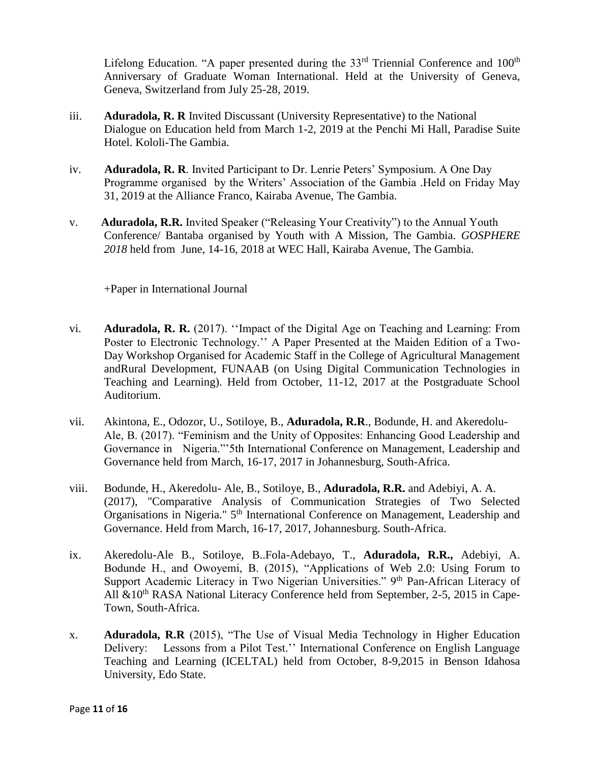Lifelong Education. "A paper presented during the  $33<sup>rd</sup>$  Triennial Conference and  $100<sup>th</sup>$ Anniversary of Graduate Woman International. Held at the University of Geneva, Geneva, Switzerland from July 25-28, 2019.

- iii. **Aduradola, R. R** Invited Discussant (University Representative) to the National Dialogue on Education held from March 1-2, 2019 at the Penchi Mi Hall, Paradise Suite Hotel. Kololi-The Gambia.
- iv. **Aduradola, R. R**. Invited Participant to Dr. Lenrie Peters' Symposium. A One Day Programme organised by the Writers' Association of the Gambia .Held on Friday May 31, 2019 at the Alliance Franco, Kairaba Avenue, The Gambia.
- v. **Aduradola, R.R.** Invited Speaker ("Releasing Your Creativity") to the Annual Youth Conference/ Bantaba organised by Youth with A Mission, The Gambia. *GOSPHERE 2018* held from June, 14-16, 2018 at WEC Hall, Kairaba Avenue, The Gambia.

+Paper in International Journal

- vi. **Aduradola, R. R.** (2017). ''Impact of the Digital Age on Teaching and Learning: From Poster to Electronic Technology.'' A Paper Presented at the Maiden Edition of a Two-Day Workshop Organised for Academic Staff in the College of Agricultural Management andRural Development, FUNAAB (on Using Digital Communication Technologies in Teaching and Learning). Held from October, 11-12, 2017 at the Postgraduate School Auditorium.
- vii. Akintona, E., Odozor, U., Sotiloye, B., **Aduradola, R.R**., Bodunde, H. and Akeredolu-Ale, B. (2017). "Feminism and the Unity of Opposites: Enhancing Good Leadership and Governance in Nigeria."'5th International Conference on Management, Leadership and Governance held from March, 16-17, 2017 in Johannesburg, South-Africa.
- viii. Bodunde, H., Akeredolu- Ale, B., Sotiloye, B., **Aduradola, R.R.** and Adebiyi, A. A. (2017), "Comparative Analysis of Communication Strategies of Two Selected Organisations in Nigeria." 5<sup>th</sup> International Conference on Management, Leadership and Governance. Held from March, 16-17, 2017, Johannesburg. South-Africa.
- ix. Akeredolu-Ale B., Sotiloye, B..Fola-Adebayo, T., **Aduradola, R.R.,** Adebiyi, A. Bodunde H., and Owoyemi, B. (2015), "Applications of Web 2.0: Using Forum to Support Academic Literacy in Two Nigerian Universities." 9<sup>th</sup> Pan-African Literacy of All  $&10<sup>th</sup> RASA National Literary Conference held from September, 2-5, 2015 in Cape-$ Town, South-Africa.
- x. **Aduradola, R.R** (2015), "The Use of Visual Media Technology in Higher Education Delivery: Lessons from a Pilot Test.'' International Conference on English Language Teaching and Learning (ICELTAL) held from October, 8-9,2015 in Benson Idahosa University, Edo State.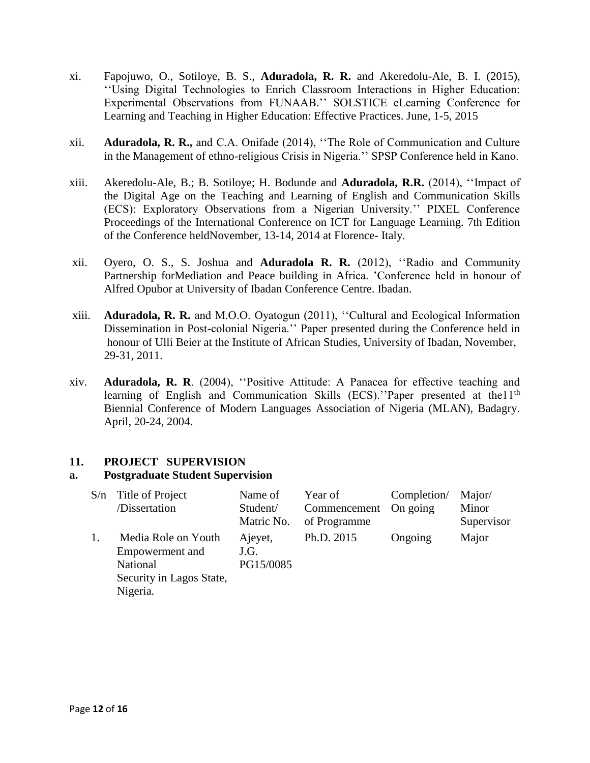- xi. Fapojuwo, O., Sotiloye, B. S., **Aduradola, R. R.** and Akeredolu-Ale, B. I. (2015), ''Using Digital Technologies to Enrich Classroom Interactions in Higher Education: Experimental Observations from FUNAAB.'' SOLSTICE eLearning Conference for Learning and Teaching in Higher Education: Effective Practices. June, 1-5, 2015
- xii. **Aduradola, R. R.,** and C.A. Onifade (2014), ''The Role of Communication and Culture in the Management of ethno-religious Crisis in Nigeria.'' SPSP Conference held in Kano.
- xiii. Akeredolu-Ale, B.; B. Sotiloye; H. Bodunde and **Aduradola, R.R.** (2014), ''Impact of the Digital Age on the Teaching and Learning of English and Communication Skills (ECS): Exploratory Observations from a Nigerian University.'' PIXEL Conference Proceedings of the International Conference on ICT for Language Learning. 7th Edition of the Conference heldNovember, 13-14, 2014 at Florence- Italy.
- xii. Oyero, O. S., S. Joshua and **Aduradola R. R.** (2012), ''Radio and Community Partnership forMediation and Peace building in Africa. 'Conference held in honour of Alfred Opubor at University of Ibadan Conference Centre. Ibadan.
- xiii. **Aduradola, R. R.** and M.O.O. Oyatogun (2011), ''Cultural and Ecological Information Dissemination in Post-colonial Nigeria.'' Paper presented during the Conference held in honour of Ulli Beier at the Institute of African Studies, University of Ibadan, November, 29-31, 2011.
- xiv. **Aduradola, R. R**. (2004), ''Positive Attitude: A Panacea for effective teaching and learning of English and Communication Skills (ECS). "Paper presented at the11<sup>th</sup> Biennial Conference of Modern Languages Association of Nigeria (MLAN), Badagry. April, 20-24, 2004.

### **11. PROJECT SUPERVISION**

#### **a. Postgraduate Student Supervision**

| $S/n$ Title of Project                                                                     | Name of                      | Year of               | Completion/ | Major/     |
|--------------------------------------------------------------------------------------------|------------------------------|-----------------------|-------------|------------|
| /Dissertation                                                                              | Student/                     | Commencement On going |             | Minor      |
|                                                                                            | Matric No.                   | of Programme          |             | Supervisor |
| Media Role on Youth<br>Empowerment and<br>National<br>Security in Lagos State,<br>Nigeria. | Ajeyet,<br>J.G.<br>PG15/0085 | Ph.D. 2015            | Ongoing     | Major      |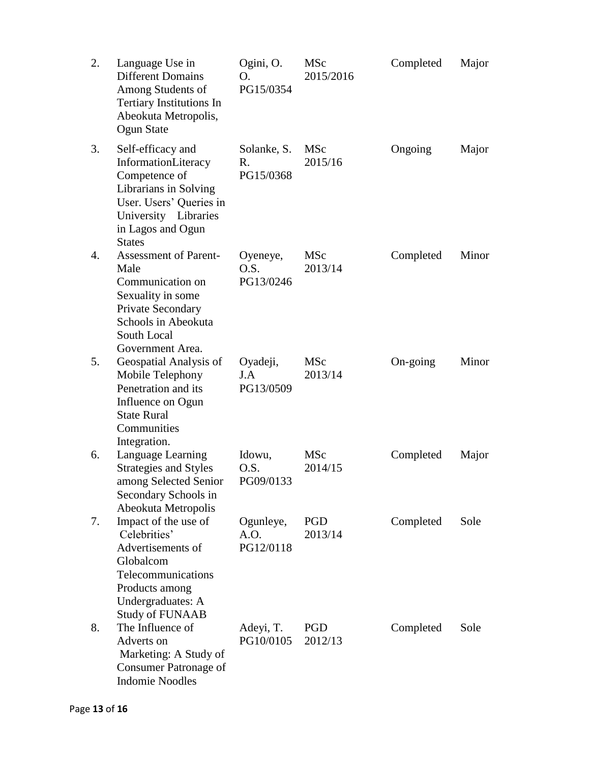| 2. | Language Use in<br><b>Different Domains</b><br>Among Students of<br><b>Tertiary Institutions In</b><br>Abeokuta Metropolis,<br>Ogun State                                   | Ogini, O.<br>O.<br>PG15/0354   | <b>MSc</b><br>2015/2016 | Completed | Major |
|----|-----------------------------------------------------------------------------------------------------------------------------------------------------------------------------|--------------------------------|-------------------------|-----------|-------|
| 3. | Self-efficacy and<br>InformationLiteracy<br>Competence of<br>Librarians in Solving<br>User. Users' Queries in<br>University Libraries<br>in Lagos and Ogun<br><b>States</b> | Solanke, S.<br>R.<br>PG15/0368 | <b>MSc</b><br>2015/16   | Ongoing   | Major |
| 4. | <b>Assessment of Parent-</b><br>Male<br>Communication on<br>Sexuality in some<br>Private Secondary<br>Schools in Abeokuta<br>South Local<br>Government Area.                | Oyeneye,<br>O.S.<br>PG13/0246  | <b>MSc</b><br>2013/14   | Completed | Minor |
| 5. | Geospatial Analysis of<br>Mobile Telephony<br>Penetration and its<br>Influence on Ogun<br><b>State Rural</b><br>Communities<br>Integration.                                 | Oyadeji,<br>J.A<br>PG13/0509   | <b>MSc</b><br>2013/14   | On-going  | Minor |
| 6. | Language Learning<br><b>Strategies and Styles</b><br>among Selected Senior<br>Secondary Schools in<br>Abeokuta Metropolis                                                   | Idowu,<br>O.S.<br>PG09/0133    | <b>MSc</b><br>2014/15   | Completed | Major |
| 7. | Impact of the use of<br>Celebrities'<br>Advertisements of<br>Globalcom<br>Telecommunications<br>Products among<br>Undergraduates: A<br><b>Study of FUNAAB</b>               | Ogunleye,<br>A.O.<br>PG12/0118 | PGD<br>2013/14          | Completed | Sole  |
| 8. | The Influence of<br>Adverts on<br>Marketing: A Study of<br>Consumer Patronage of<br><b>Indomie Noodles</b>                                                                  | Adeyi, T.<br>PG10/0105         | <b>PGD</b><br>2012/13   | Completed | Sole  |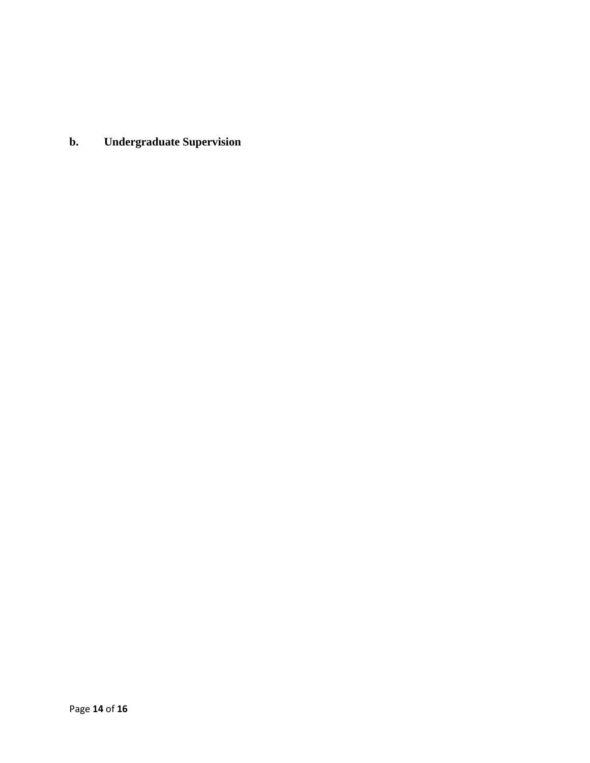**b. Undergraduate Supervision**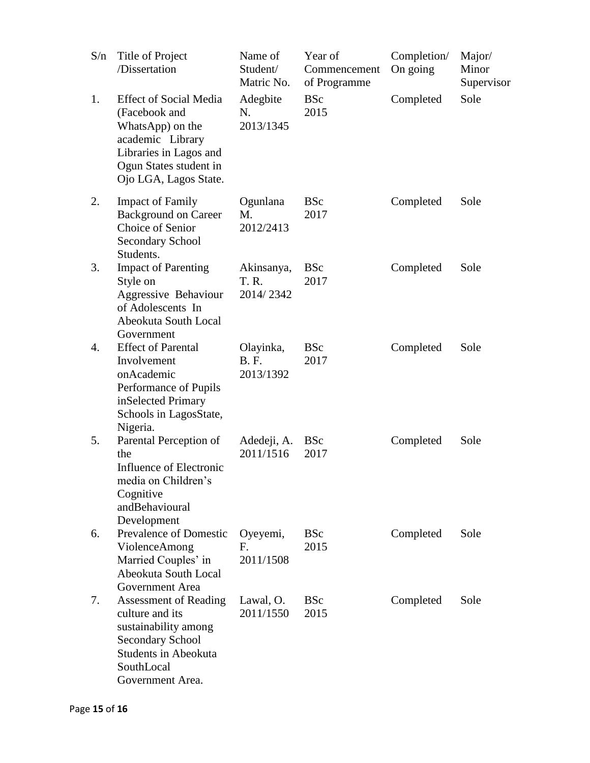| S/n | Title of Project<br>/Dissertation                                                                                                                                   | Name of<br>Student/<br>Matric No.     | Year of<br>Commencement<br>of Programme | Completion/<br>On going | Major/<br>Minor<br>Supervisor |
|-----|---------------------------------------------------------------------------------------------------------------------------------------------------------------------|---------------------------------------|-----------------------------------------|-------------------------|-------------------------------|
| 1.  | <b>Effect of Social Media</b><br>(Facebook and<br>WhatsApp) on the<br>academic Library<br>Libraries in Lagos and<br>Ogun States student in<br>Ojo LGA, Lagos State. | Adegbite<br>N.<br>2013/1345           | <b>BSc</b><br>2015                      | Completed               | Sole                          |
| 2.  | <b>Impact of Family</b><br><b>Background on Career</b><br>Choice of Senior<br><b>Secondary School</b><br>Students.                                                  | Ogunlana<br>M.<br>2012/2413           | <b>BSc</b><br>2017                      | Completed               | Sole                          |
| 3.  | <b>Impact of Parenting</b><br>Style on<br>Aggressive Behaviour<br>of Adolescents In<br>Abeokuta South Local<br>Government                                           | Akinsanya,<br>T. R.<br>2014/2342      | <b>BSc</b><br>2017                      | Completed               | Sole                          |
| 4.  | <b>Effect of Parental</b><br>Involvement<br>onAcademic<br>Performance of Pupils<br>inSelected Primary<br>Schools in LagosState,<br>Nigeria.                         | Olayinka,<br><b>B.F.</b><br>2013/1392 | <b>BSc</b><br>2017                      | Completed               | Sole                          |
| 5.  | Parental Perception of<br>the<br>Influence of Electronic<br>media on Children's<br>Cognitive<br>andBehavioural<br>Development                                       | Adedeji, A.<br>2011/1516              | <b>BSc</b><br>2017                      | Completed               | Sole                          |
| 6.  | <b>Prevalence of Domestic</b><br>ViolenceAmong<br>Married Couples' in<br>Abeokuta South Local<br>Government Area                                                    | Oyeyemi,<br>Е.<br>2011/1508           | <b>BSc</b><br>2015                      | Completed               | Sole                          |
| 7.  | <b>Assessment of Reading</b><br>culture and its<br>sustainability among<br>Secondary School<br><b>Students in Abeokuta</b><br>SouthLocal<br>Government Area.        | Lawal, O.<br>2011/1550                | <b>BSc</b><br>2015                      | Completed               | Sole                          |